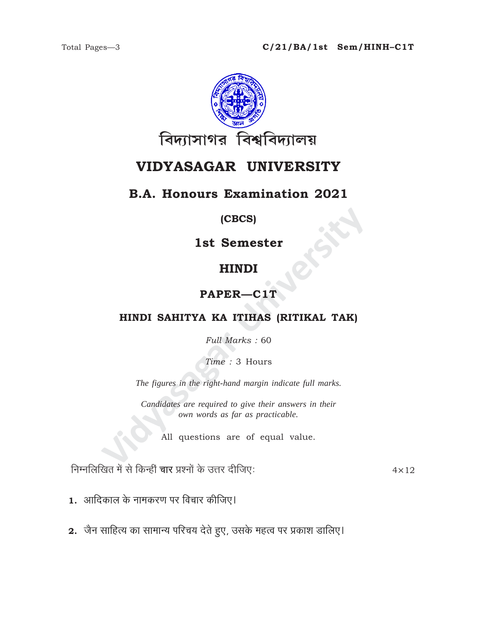

# VIDYASAGAR UNIVERSITY

# **B.A. Honours Examination 2021**

#### (CBCS)

1st Semester

# **HINDI**

# PAPER-C1T

### HINDI SAHITYA KA ITIHAS (RITIKAL TAK)

Full Marks: 60

Time: 3 Hours

The figures in the right-hand margin indicate full marks.

Candidates are required to give their answers in their own words as far as practicable.

All questions are of equal value.

निम्नलिखित में से किन्हीं चार प्रश्नों के उत्तर दीजिए:

 $4 \times 12$ 

- 1. आदिकाल के नामकरण पर विचार कीजिए।
- 2. जैन साहित्य का सामान्य परिचय देते हुए, उसके महत्व पर प्रकाश डालिए।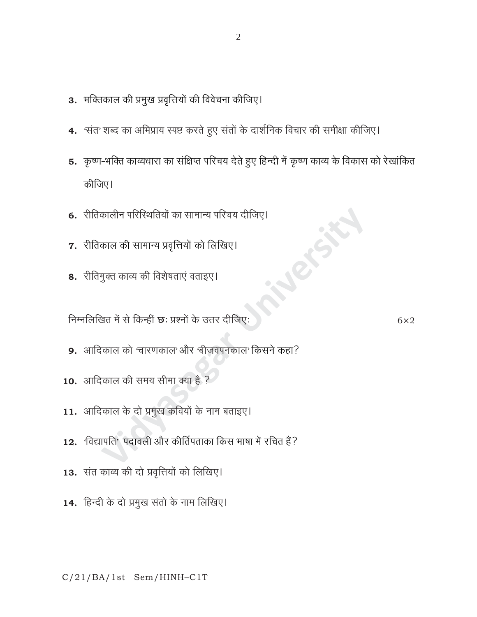- 3. भक्तिकाल की प्रमुख प्रवृत्तियों की विवेचना कीजिए।
- 4. 'संत' शब्द का अभिप्राय स्पष्ट करते हुए संतों के दार्शनिक विचार की समीक्षा कीजिए।
- 5. कृष्ण-भक्ति काव्यधारा का संक्षिप्त परिचय देते हुए हिन्दी में कृष्ण काव्य के विकास को रेखांकित कीजिए।
- 6. रीतिकालीन परिस्थितियों का सामान्य परिचय दीजिए।
- 7. रीतिकाल की सामान्य प्रवृत्तियों को लिखिए।
- 8. रीतिमुक्त काव्य की विशेषताएं वताइए।

निम्नलिखित में से किन्हीं **छ**: प्रश्नों के उत्तर दीजिए:

- 9. आदिकाल को 'चारणकाल'और 'बीजवपनकाल' किसने कहा?
- 10. आदिकाल की समय सीमा क्या है ?
- 11. आदिकाल के दो प्रमुख कवियों के नाम बताइए।
- 12. विद्यापति<sup>,</sup> पदावली और कीर्तिपताका किस भाषा में रचित हैं?
- 13. संत काव्य की दो प्रवृत्तियों को लिखिए।
- 14. हिन्दी के दो प्रमुख संतो के नाम लिखिए।

 $C/21/BA/1st$  Sem/HINH-C1T

 $6\times2$